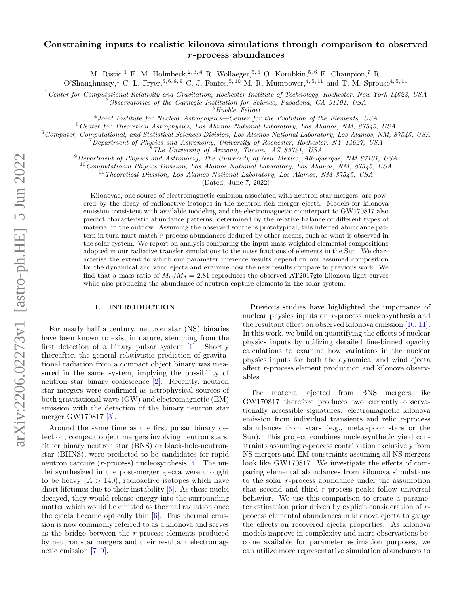# Constraining inputs to realistic kilonova simulations through comparison to observed r-process abundances

M. Ristic,<sup>1</sup> E. M. Holmbeck,<sup>2, 3, 4</sup> R. Wollaeger,<sup>5, 6</sup> O. Korobkin,<sup>5, 6</sup> E. Champion,<sup>7</sup> R.

O'Shaughnessy,<sup>1</sup> C. L. Fryer,<sup>5, 6, 8, 9</sup> C. J. Fontes,<sup>5, 10</sup> M. R. Mumpower,<sup>4, 5, 11</sup> and T. M. Sprouse<sup>4, 5, 11</sup>

 $1$  Center for Computational Relativity and Gravitation, Rochester Institute of Technology, Rochester, New York 14623, USA

<sup>2</sup>Observatories of the Carnegie Institution for Science, Pasadena, CA 91101, USA

 $^3\,Hubble$   $\,Fe\,$ 

<sup>4</sup> Joint Institute for Nuclear Astrophysics—Center for the Evolution of the Elements, USA

<sup>5</sup>Center for Theoretical Astrophysics, Los Alamos National Laboratory, Los Alamos, NM, 87545, USA

<sup>6</sup>Computer, Computational, and Statistical Sciences Division, Los Alamos National Laboratory, Los Alamos, NM, 87545, USA

<sup>7</sup>Department of Physics and Astronomy, University of Rochester, Rochester, NY 14627, USA

<sup>8</sup>The University of Arizona, Tucson, AZ 85721, USA

 $9$ Department of Physics and Astronomy, The University of New Mexico, Albuquerque, NM 87131, USA

 $10$ Computational Physics Division, Los Alamos National Laboratory, Los Alamos, NM, 87545, USA

<sup>11</sup> Theoretical Division, Los Alamos National Laboratory, Los Alamos, NM 87545, USA

(Dated: June 7, 2022)

Kilonovae, one source of electromagnetic emission associated with neutron star mergers, are powered by the decay of radioactive isotopes in the neutron-rich merger ejecta. Models for kilonova emission consistent with available modeling and the electromagnetic counterpart to GW170817 also predict characteristic abundance patterns, determined by the relative balance of different types of material in the outflow. Assuming the observed source is prototypical, this inferred abundance pattern in turn must match r-process abundances deduced by other means, such as what is observed in the solar system. We report on analysis comparing the input mass-weighted elemental compositions adopted in our radiative transfer simulations to the mass fractions of elements in the Sun. We characterise the extent to which our parameter inference results depend on our assumed composition for the dynamical and wind ejecta and examine how the new results compare to previous work. We find that a mass ratio of  $M_w/M_d = 2.81$  reproduces the observed AT2017gfo kilonova light curves while also producing the abundance of neutron-capture elements in the solar system.

### <span id="page-0-0"></span>I. INTRODUCTION

For nearly half a century, neutron star (NS) binaries have been known to exist in nature, stemming from the first detection of a binary pulsar system [\[1\]](#page-6-0). Shortly thereafter, the general relativistic prediction of gravitational radiation from a compact object binary was measured in the same system, implying the possibility of neutron star binary coalescence [\[2\]](#page-6-1). Recently, neutron star mergers were confirmed as astrophysical sources of both gravitational wave (GW) and electromagnetic (EM) emission with the detection of the binary neutron star merger GW170817 [\[3\]](#page-6-2).

Around the same time as the first pulsar binary detection, compact object mergers involving neutron stars, either binary neutron star (BNS) or black-hole-neutronstar (BHNS), were predicted to be candidates for rapid neutron capture ( $r$ -process) nucleosynthesis [\[4\]](#page-6-3). The nuclei synthesized in the post-merger ejecta were thought to be heavy  $(A > 140)$ , radioactive isotopes which have short lifetimes due to their instability [\[5\]](#page-6-4). As these nuclei decayed, they would release energy into the surrounding matter which would be emitted as thermal radiation once the ejecta became optically thin  $[6]$ . This thermal emission is now commonly referred to as a kilonova and serves as the bridge between the  $r$ -process elements produced by neutron star mergers and their resultant electromagnetic emission [\[7–](#page-6-6)[9\]](#page-6-7).

Previous studies have highlighted the importance of nuclear physics inputs on  $r$ -process nucleosynthesis and the resultant effect on observed kilonova emission [\[10,](#page-6-8) [11\]](#page-6-9). In this work, we build on quantifying the effects of nuclear physics inputs by utilizing detailed line-binned opacity calculations to examine how variations in the nuclear physics inputs for both the dynamical and wind ejecta affect r-process element production and kilonova observables.

The material ejected from BNS mergers like GW170817 therefore produces two currently observationally accessible signatures: electromagnetic kilonova emission from individual transients and relic r-process abundances from stars (e.g., metal-poor stars or the Sun). This project combines nucleosynthetic yield constraints assuming r-process contribution exclusively from NS mergers and EM constraints assuming all NS mergers look like GW170817. We investigate the effects of comparing elemental abundances from kilonova simulations to the solar  $r$ -process abundance under the assumption that second and third  $r$ -process peaks follow universal behavior. We use this comparison to create a parameter estimation prior driven by explicit consideration of  $r$ process elemental abundances in kilonova ejecta to gauge the effects on recovered ejecta properties. As kilonova models improve in complexity and more observations become available for parameter estimation purposes, we can utilize more representative simulation abundances to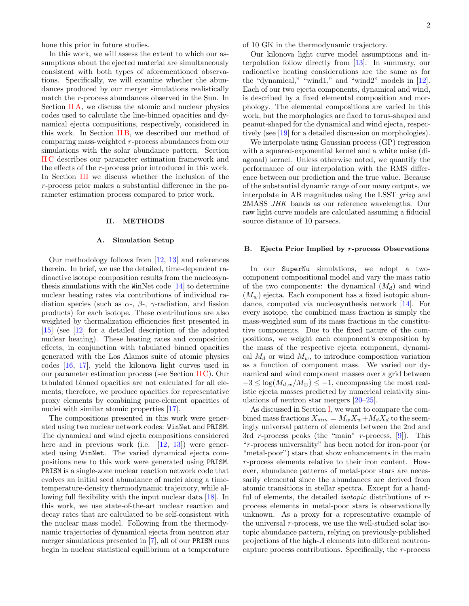hone this prior in future studies.

In this work, we will assess the extent to which our assumptions about the ejected material are simultaneously consistent with both types of aforementioned observations. Specifically, we will examine whether the abundances produced by our merger simulations realistically match the r-process abundances observed in the Sun. In Section [II A,](#page-1-0) we discuss the atomic and nuclear physics codes used to calculate the line-binned opacities and dynamical ejecta compositions, respectively, considered in this work. In Section [II B,](#page-1-1) we described our method of comparing mass-weighted r-process abundances from our simulations with the solar abundance pattern. Section [II C](#page-3-0) describes our parameter estimation framework and the effects of the r-process prior introduced in this work. In Section [III](#page-3-1) we discuss whether the inclusion of the r -process prior makes a substantial difference in the parameter estimation process compared to prior work.

### II. METHODS

## <span id="page-1-0"></span>A. Simulation Setup

Our methodology follows from [\[12,](#page-7-0) [13\]](#page-7-1) and references therein. In brief, we use the detailed, time-dependent radioactive isotope composition results from the nucleosynthesis simulations with the WinNet code [\[14\]](#page-7-2) to determine nuclear heating rates via contributions of individual radiation species (such as  $\alpha$ -,  $\beta$ -,  $\gamma$ -radiation, and fission products) for each isotope. These contributions are also weighted by thermalization efficiencies first presented in [\[15\]](#page-7-3) (see [\[12\]](#page-7-0) for a detailed description of the adopted nuclear heating). These heating rates and composition effects, in conjunction with tabulated binned opacities generated with the Los Alamos suite of atomic physics codes [\[16,](#page-7-4) [17\]](#page-7-5), yield the kilonova light curves used in our parameter estimation process (see Section [II C\)](#page-3-0). Our tabulated binned opacities are not calculated for all elements; therefore, we produce opacities for representative proxy elements by combining pure-element opacities of nuclei with similar atomic properties [\[17\]](#page-7-5).

The compositions presented in this work were generated using two nuclear network codes: WinNet and PRISM. The dynamical and wind ejecta compositions considered here and in previous work (i.e. [\[12,](#page-7-0) [13\]](#page-7-1)) were generated using WinNet. The varied dynamical ejecta compositions new to this work were generated using PRISM. PRISM is a single-zone nuclear reaction network code that evolves an initial seed abundance of nuclei along a timetemperature-density thermodynamic trajectory, while allowing full flexibility with the input nuclear data [\[18\]](#page-7-6). In this work, we use state-of-the-art nuclear reaction and decay rates that are calculated to be self-consistent with the nuclear mass model. Following from the thermodynamic trajectories of dynamical ejecta from neutron star merger simulations presented in [\[7\]](#page-6-6), all of our PRISM runs begin in nuclear statistical equilibrium at a temperature of 10 GK in the thermodynamic trajectory.

Our kilonova light curve model assumptions and interpolation follow directly from [\[13\]](#page-7-1). In summary, our radioactive heating considerations are the same as for the "dynamical," "wind1," and "wind2" models in [\[12\]](#page-7-0). Each of our two ejecta components, dynamical and wind, is described by a fixed elemental composition and morphology. The elemental compositions are varied in this work, but the morphologies are fixed to torus-shaped and peanut-shaped for the dynamical and wind ejecta, respectively (see [\[19\]](#page-7-7) for a detailed discussion on morphologies).

We interpolate using Gaussian process (GP) regression with a squared-exponential kernel and a white noise (diagonal) kernel. Unless otherwise noted, we quantify the performance of our interpolation with the RMS difference between our prediction and the true value. Because of the substantial dynamic range of our many outputs, we interpolate in AB magnitudes using the LSST grizy and 2MASS JHK bands as our reference wavelengths. Our raw light curve models are calculated assuming a fiducial source distance of 10 parsecs.

# <span id="page-1-1"></span>B. Ejecta Prior Implied by r-process Observations

In our SuperNu simulations, we adopt a twocomponent compositional model and vary the mass ratio of the two components: the dynamical  $(M_d)$  and wind  $(M_w)$  ejecta. Each component has a fixed isotopic abundance, computed via nucleosynthesis network [\[14\]](#page-7-2). For every isotope, the combined mass fraction is simply the mass-weighted sum of its mass fractions in the constitutive components. Due to the fixed nature of the compositions, we weight each component's composition by the mass of the respective ejecta component, dynamical  $M_d$  or wind  $M_w$ , to introduce composition variation as a function of component mass. We varied our dynamical and wind component masses over a grid between  $-3 \leq \log(M_{d,w}/M_{\odot}) \leq -1$ , encompassing the most realistic ejecta masses predicted by numerical relativity simulations of neutron star mergers [\[20–](#page-7-8)[25\]](#page-7-9).

As discussed in Section [I,](#page-0-0) we want to compare the combined mass fractions  $X_{sim} = M_w X_w + M_d X_d$  to the seemingly universal pattern of elements between the 2nd and 3rd r-process peaks (the "main" r-process,  $[9]$ ). This "r -process universality" has been noted for iron-poor (or "metal-poor") stars that show enhancements in the main r -process elements relative to their iron content. However, abundance patterns of metal-poor stars are necessarily elemental since the abundances are derived from atomic transitions in stellar spectra. Except for a handful of elements, the detailed *isotopic* distributions of  $r$ process elements in metal-poor stars is observationally unknown. As a proxy for a representative example of the universal  $r$ -process, we use the well-studied solar isotopic abundance pattern, relying on previously-published projections of the high-A elements into different neutroncapture process contributions. Specifically, the  $r$ -process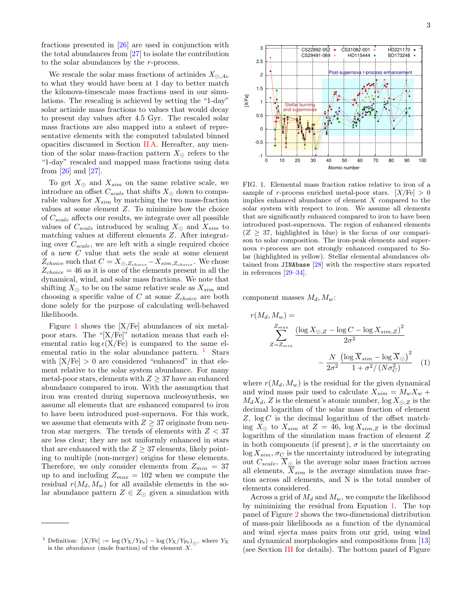fractions presented in [\[26\]](#page-7-10) are used in conjunction with the total abundances from [\[27\]](#page-7-11) to isolate the contribution to the solar abundances by the  $r$ -process.

We rescale the solar mass fractions of actinides  $X_{\odot,Ac}$ to what they would have been at 1 day to better match the kilonova-timescale mass fractions used in our simulations. The rescaling is achieved by setting the "1-day" solar actinide mass fractions to values that would decay to present day values after 4.5 Gyr. The rescaled solar mass fractions are also mapped into a subset of representative elements with the computed tabulated binned opacities discussed in Section [II A.](#page-1-0) Hereafter, any mention of the solar mass-fraction pattern  $X_{\odot}$  refers to the "1-day" rescaled and mapped mass fractions using data from [\[26\]](#page-7-10) and [\[27\]](#page-7-11).

To get  $X_{\odot}$  and  $X_{sim}$  on the same relative scale, we introduce an offset  $C_{scale}$  that shifts  $X_{\odot}$  down to comparable values for  $X_{sim}$  by matching the two mass-fraction values at some element Z. To minimize how the choice of  $C_{scale}$  affects our results, we integrate over all possible values of  $C_{scale}$  introduced by scaling  $X_{\odot}$  and  $X_{sim}$  to matching values at different elements Z. After integrating over  $C_{scale}$ , we are left with a single required choice of a new C value that sets the scale at some element  $Z_{choice}$  such that  $C = X_{\odot,Z_{choice}} - X_{sim,Z_{choice}}$ . We chose  $Z_{choice} = 46$  as it is one of the elements present in all the dynamical, wind, and solar mass fractions. We note that shifting  $X_{\odot}$  to be on the same relative scale as  $X_{sim}$  and choosing a specific value of C at some  $Z_{choice}$  are both done solely for the purpose of calculating well-behaved likelihoods.

Figure [1](#page-2-0) shows the  $[X/Fe]$  abundances of six metalpoor stars. The "[X/Fe]" notation means that each elemental ratio  $\log \epsilon(X/\text{Fe})$  is compared to the same elemental ratio in the solar abundance pattern.  $\frac{1}{1}$  $\frac{1}{1}$  $\frac{1}{1}$  Stars with  $[X/Fe] > 0$  are considered "enhanced" in that element relative to the solar system abundance. For many metal-poor stars, elements with  $Z \geq 37$  have an enhanced abundance compared to iron. With the assumption that iron was created during supernova nucleosynthesis, we assume all elements that are enhanced compared to iron to have been introduced post-supernova. For this work, we assume that elements with  $Z \geq 37$  originate from neutron star mergers. The trends of elements with  $Z < 37$ are less clear; they are not uniformly enhanced in stars that are enhanced with the  $Z \geq 37$  elements, likely pointing to multiple (non-merger) origins for these elements. Therefore, we only consider elements from  $Z_{min} = 37$ up to and including  $Z_{max} = 102$  when we compute the residual  $r(M_d, M_w)$  for all available elements in the solar abundance pattern  $Z \in Z_{\odot}$  given a simulation with



<span id="page-2-0"></span>FIG. 1. Elemental mass fraction ratios relative to iron of a sample of r-process enriched metal-poor stars.  $[X/Fe] > 0$ implies enhanced abundance of element X compared to the solar system with respect to iron. We assume all elements that are significantly enhanced compared to iron to have been introduced post-supernova. The region of enhanced elements  $(Z > 37$ , highlighted in blue) is the focus of our comparison to solar composition. The iron-peak elements and supernova r-process are not strongly enhanced compared to Solar (highlighted in yellow). Stellar elemental abundances obtained from JINAbase [\[28\]](#page-7-12) with the respective stars reported in references [\[29](#page-7-13)[–34\]](#page-8-0).

component masses  $M_d, M_w$ :

<span id="page-2-2"></span>
$$
r(M_d, M_w) =
$$
  

$$
\sum_{Z=Z_{min}}^{Z_{max}} \frac{(\log X_{\odot,Z} - \log C - \log X_{sim,Z})^2}{2\sigma^2}
$$
  

$$
-\frac{N}{2\sigma^2} \frac{(\log \overline{X}_{sim} - \log \overline{X}_{\odot})^2}{1 + \sigma^2 / (N\sigma_C^2)}
$$
(1)

where  $r(M_d, M_w)$  is the residual for the given dynamical and wind mass pair used to calculate  $X_{sim} = M_w X_w +$  $M_d X_d$ , Z is the element's atomic number,  $\log X_{\odot}$  z is the decimal logarithm of the solar mass fraction of element  $Z$ ,  $\log C$  is the decimal logarithm of the offset matching  $X_{\odot}$  to  $X_{sim}$  at  $Z = 46$ ,  $\log X_{sim,Z}$  is the decimal logarithm of the simulation mass fraction of element Z in both components (if present),  $\sigma$  is the uncertainty on  $log X_{sim}$ ,  $\sigma_C$  is the uncertainty introduced by integrating out  $C_{scale}$ ,  $\overline{X}_{\odot}$  is the average solar mass fraction across all elements,  $\overline{X}_{sim}$  is the average simulation mass fraction across all elements, and N is the total number of elements considered.

Across a grid of  $M_d$  and  $M_w$ , we compute the likelihood by minimizing the residual from Equation [1.](#page-2-2) The top panel of Figure [2](#page-3-2) shows the two-dimensional distribution of mass-pair likelihoods as a function of the dynamical and wind ejecta mass pairs from our grid, using wind and dynamical morphologies and compositions from [\[13\]](#page-7-1) (see Section [III](#page-3-1) for details). The bottom panel of Figure

<span id="page-2-1"></span><sup>&</sup>lt;sup>1</sup> Definition:  $[X/\text{Fe}] := \log(Y_X/Y_{\text{Fe}}) - \log(Y_X/Y_{\text{Fe}})_{\odot}$ , where  $Y_X$ is the *abundance* (mole fraction) of the element  $X$ .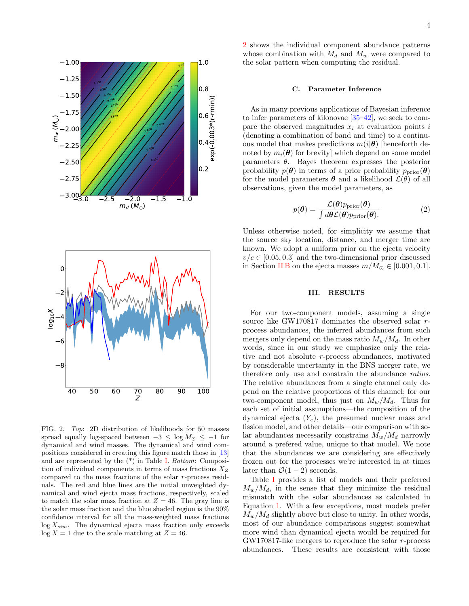

<span id="page-3-2"></span>FIG. 2. Top: 2D distribution of likelihoods for 50 masses spread equally log-spaced between  $-3 \le \log M_{\odot} \le -1$  for dynamical and wind masses. The dynamical and wind compositions considered in creating this figure match those in [\[13\]](#page-7-1) and are represented by the (\*) in Table [I.](#page-4-0) Bottom: Composition of individual components in terms of mass fractions  $X_Z$ compared to the mass fractions of the solar  $r$ -process residuals. The red and blue lines are the initial unweighted dynamical and wind ejecta mass fractions, respectively, scaled to match the solar mass fraction at  $Z = 46$ . The gray line is the solar mass fraction and the blue shaded region is the 90% confidence interval for all the mass-weighted mass fractions  $log X_{sim}$ . The dynamical ejecta mass fraction only exceeds  $log X = 1$  due to the scale matching at  $Z = 46$ .

[2](#page-3-2) shows the individual component abundance patterns whose combination with  $M_d$  and  $M_w$  were compared to the solar pattern when computing the residual.

### <span id="page-3-0"></span>C. Parameter Inference

As in many previous applications of Bayesian inference to infer parameters of kilonovae [\[35–](#page-8-1)[42\]](#page-8-2), we seek to compare the observed magnitudes  $x_i$  at evaluation points i (denoting a combination of band and time) to a continuous model that makes predictions  $m(i|\theta)$  [henceforth denoted by  $m_i(\theta)$  for brevity] which depend on some model parameters  $\theta$ . Bayes theorem expresses the posterior probability  $p(\theta)$  in terms of a prior probability  $p_{\text{prior}}(\theta)$ for the model parameters  $\theta$  and a likelihood  $\mathcal{L}(\theta)$  of all observations, given the model parameters, as

$$
p(\boldsymbol{\theta}) = \frac{\mathcal{L}(\boldsymbol{\theta})p_{\text{prior}}(\boldsymbol{\theta})}{\int d\boldsymbol{\theta}\mathcal{L}(\boldsymbol{\theta})p_{\text{prior}}(\boldsymbol{\theta})}.
$$
 (2)

Unless otherwise noted, for simplicity we assume that the source sky location, distance, and merger time are known. We adopt a uniform prior on the ejecta velocity  $v/c \in [0.05, 0.3]$  and the two-dimensional prior discussed in Section [II B](#page-1-1) on the ejecta masses  $m/M_{\odot} \in [0.001, 0.1]$ .

# <span id="page-3-1"></span>III. RESULTS

For our two-component models, assuming a single source like GW170817 dominates the observed solar  $r$ process abundances, the inferred abundances from such mergers only depend on the mass ratio  $M_w/M_d$ . In other words, since in our study we emphasize only the relative and not absolute r-process abundances, motivated by considerable uncertainty in the BNS merger rate, we therefore only use and constrain the abundance ratios. The relative abundances from a single channel only depend on the relative proportions of this channel; for our two-component model, thus just on  $M_w/M_d$ . Thus for each set of initial assumptions—the composition of the dynamical ejecta  $(Y_e)$ , the presumed nuclear mass and fission model, and other details—our comparison with solar abundances necessarily constrains  $M_w/M_d$  narrowly around a prefered value, unique to that model. We note that the abundances we are considering are effectively frozen out for the processes we're interested in at times later than  $\mathcal{O}(1-2)$  seconds.

Table [I](#page-4-0) provides a list of models and their preferred  $M_w/M_d$ , in the sense that they minimize the residual mismatch with the solar abundances as calculated in Equation [1.](#page-2-2) With a few exceptions, most models prefer  $M_w/M_d$  slightly above but close to unity. In other words, most of our abundance comparisons suggest somewhat more wind than dynamical ejecta would be required for GW170817-like mergers to reproduce the solar  $r$ -process abundances. These results are consistent with those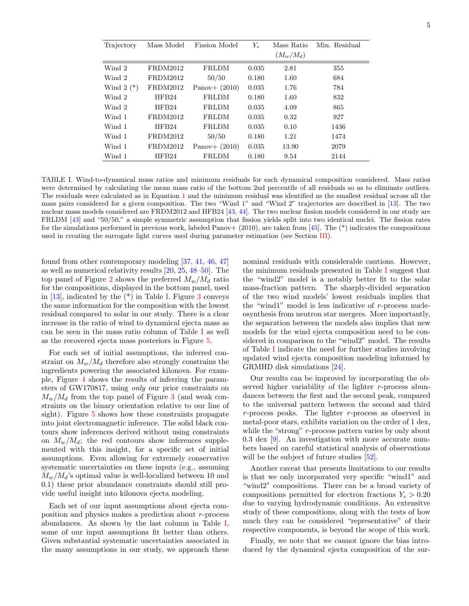| Trajectory  | Mass Model | <b>Fission Model</b> | $Y_e$ | Mass Ratio  | Min. Residual |
|-------------|------------|----------------------|-------|-------------|---------------|
|             |            |                      |       | $(M_w/M_d)$ |               |
| Wind 2      | FRDM2012   | FRLDM                | 0.035 | 2.81        | 355           |
| Wind 2      | FRDM2012   | 50/50                | 0.180 | 1.60        | 684           |
| Wind $2(*)$ | FRDM2012   | Panov+ $(2010)$      | 0.035 | 1.76        | 784           |
| Wind 2      | HFB24      | <b>FRLDM</b>         | 0.180 | 1.60        | 832           |
| Wind 2      | HFB24      | FRLDM                | 0.035 | 4.09        | 865           |
| Wind 1      | FRDM2012   | <b>FRLDM</b>         | 0.035 | 0.32        | 927           |
| Wind 1      | HFB24      | <b>FRLDM</b>         | 0.035 | 0.10        | 1436          |
| Wind 1      | FRDM2012   | 50/50                | 0.180 | 1.21        | 1474          |
| Wind 1      | FRDM2012   | Panov+ $(2010)$      | 0.035 | 13.90       | 2079          |
| Wind 1      | HFB24      | <b>FRLDM</b>         | 0.180 | 9.54        | 2144          |

<span id="page-4-0"></span>TABLE I. Wind-to-dynamical mass ratios and minimum residuals for each dynamical composition considered. Mass ratios were determined by calculating the mean mass ratio of the bottom 2nd percentile of all residuals so as to eliminate outliers. The residuals were calculated as in Equation [1](#page-2-2) and the minimum residual was identified as the smallest residual across all the mass pairs considered for a given composition. The two "Wind 1" and "Wind 2" trajectories are described in [\[13\]](#page-7-1). The two nuclear mass models considered are FRDM2012 and HFB24 [\[43,](#page-8-3) [44\]](#page-8-4). The two nuclear fission models considered in our study are FRLDM [\[43\]](#page-8-3) and "50/50," a simple symmetric assumption that fission yields split into two identical nuclei. The fission rates for the simulations performed in previous work, labeled Panov+ (2010), are taken from [\[45\]](#page-8-5). The  $(*)$  indicates the compositions used in creating the surrogate light curves used during parameter estimation (see Section [III\)](#page-3-1).

found from other contemporary modeling [\[37,](#page-8-6) [41,](#page-8-7) [46,](#page-8-8) [47\]](#page-8-9) as well as numerical relativity results [\[20,](#page-7-8) [25,](#page-7-9) [48](#page-8-10)[–50\]](#page-8-11). The top panel of Figure [2](#page-3-2) shows the preferred  $M_w/M_d$  ratio for the compositions, displayed in the bottom panel, used in  $[13]$ , indicated by the  $(*)$  in Table [I.](#page-4-0) Figure [3](#page-5-0) conveys the same information for the composition with the lowest residual compared to solar in our study. There is a clear increase in the ratio of wind to dynamical ejecta mass as can be seen in the mass ratio column of Table [I](#page-4-0) as well as the recovered ejecta mass posteriors in Figure [5.](#page-5-1)

For each set of initial assumptions, the inferred constraint on  $M_w/M_d$  therefore also strongly constrains the ingredients powering the associated kilonova. For example, Figure [4](#page-5-2) shows the results of inferring the parameters of GW170817, using only our prior constraints on  $M_w/M_d$  from the top panel of Figure [3](#page-5-0) (and weak constraints on the binary orientation relative to our line of sight). Figure [5](#page-5-1) shows how these constraints propagate into joint electromagnetic inference. The solid black contours show inferences derived without using constraints on  $M_w/M_d$ ; the red contours show inferences supplemented with this insight, for a specific set of initial assumptions. Even allowing for extremely conservative systematic uncertainties on these inputs (e.g., assuming  $M_w/M_d$ 's optimal value is well-localized between 10 and 0.1) these prior abundance constraints should still provide useful insight into kilonova ejecta modeling.

Each set of our input assumptions about ejecta composition and physics makes a prediction about r -process abundances. As shown by the last column in Table [I,](#page-4-0) some of our input assumptions fit better than others. Given substantial systematic uncertainties associated in the many assumptions in our study, we approach these nominal residuals with considerable cautions. However, the minimum residuals presented in Table [I](#page-4-0) suggest that the "wind2" model is a notably better fit to the solar mass-fraction pattern. The sharply-divided separation of the two wind models' lowest residuals implies that the "wind1" model is less indicative of  $r$ -process nucleosynthesis from neutron star mergers. More importantly, the separation between the models also implies that new models for the wind ejecta composition need to be considered in comparison to the "wind2" model. The results of Table [I](#page-4-0) indicate the need for further studies involving updated wind ejecta composition modeling informed by GRMHD disk simulations [\[24\]](#page-7-14).

Our results can be improved by incorporating the observed higher variability of the lighter  $r$ -process abundances between the first and the second peak, compared to the universal pattern between the second and third  $r$ -process peaks. The lighter  $r$ -process as observed in metal-poor stars, exhibits variation on the order of 1 dex, while the "strong"  $r$ -process pattern varies by only about 0.3 dex [\[9\]](#page-6-7). An investigation with more accurate numbers based on careful statistical analysis of observations will be the subject of future studies  $[52]$ .

Another caveat that presents limitations to our results is that we only incorporated very specific "wind1" and "wind2" compositions. There can be a broad variety of compositions permitted for electron fractions  $Y_e > 0.20$ due to varying hydrodynamic conditions. An extensitve study of these compositions, along with the tests of how much they can be considered "representative" of their respective components, is beyond the scope of this work.

Finally, we note that we cannot ignore the bias introduced by the dynamical ejecta composition of the sur-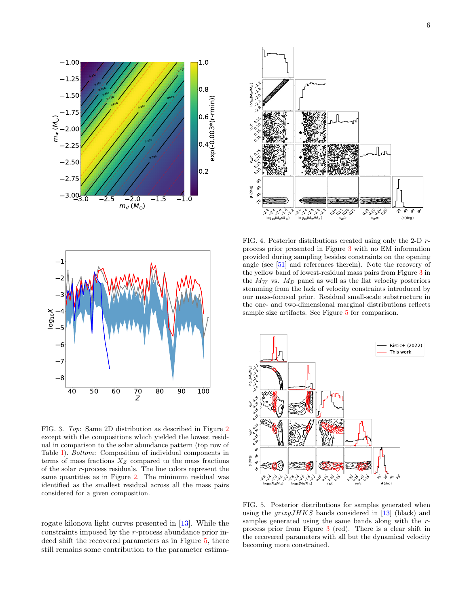



<span id="page-5-0"></span>FIG. 3. Top: Same 2D distribution as described in Figure [2](#page-3-2) except with the compositions which yielded the lowest residual in comparison to the solar abundance pattern (top row of Table [I\)](#page-4-0). Bottom: Composition of individual components in terms of mass fractions  $X_Z$  compared to the mass fractions of the solar  $r$ -process residuals. The line colors represent the same quantities as in Figure [2.](#page-3-2) The minimum residual was identified as the smallest residual across all the mass pairs considered for a given composition.

rogate kilonova light curves presented in [\[13\]](#page-7-1). While the constraints imposed by the r-process abundance prior indeed shift the recovered parameters as in Figure [5,](#page-5-1) there still remains some contribution to the parameter estima-



<span id="page-5-2"></span>FIG. 4. Posterior distributions created using only the 2-D  $r$ process prior presented in Figure [3](#page-5-0) with no EM information provided during sampling besides constraints on the opening angle (see [\[51\]](#page-8-13) and references therein). Note the recovery of the yellow band of lowest-residual mass pairs from Figure [3](#page-5-0) in the  $M_W$  vs.  $M_D$  panel as well as the flat velocity posteriors stemming from the lack of velocity constraints introduced by our mass-focused prior. Residual small-scale substructure in the one- and two-dimensional marginal distributions reflects sample size artifacts. See Figure [5](#page-5-1) for comparison.



<span id="page-5-1"></span>FIG. 5. Posterior distributions for samples generated when using the  $grizyJHKS$  bands considered in [\[13\]](#page-7-1) (black) and samples generated using the same bands along with the  $r$ process prior from Figure [3](#page-5-0) (red). There is a clear shift in the recovered parameters with all but the dynamical velocity becoming more constrained.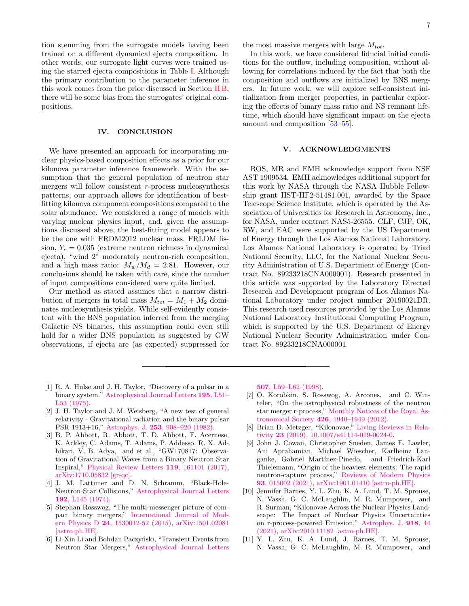tion stemming from the surrogate models having been trained on a different dynamical ejecta composition. In other words, our surrogate light curves were trained using the starred ejecta compositions in Table [I.](#page-4-0) Although the primary contribution to the parameter inference in this work comes from the prior discussed in Section [II B,](#page-1-1) there will be some bias from the surrogates' original compositions.

## IV. CONCLUSION

We have presented an approach for incorporating nuclear physics-based composition effects as a prior for our kilonova parameter inference framework. With the assumption that the general population of neutron star mergers will follow consistent  $r$ -process nucleosynthesis patterns, our approach allows for identification of bestfitting kilonova component compositions compared to the solar abundance. We considered a range of models with varying nuclear physics input, and, given the assumptions discussed above, the best-fitting model appears to be the one with FRDM2012 nuclear mass, FRLDM fission,  $Y_e = 0.035$  (extreme neutron richness in dynamical ejecta), "wind 2" moderately neutron-rich composition, and a high mass ratio:  $M_w/M_d = 2.81$ . However, our conclusions should be taken with care, since the number of input compositions considered were quite limited.

Our method as stated assumes that a narrow distribution of mergers in total mass  $M_{tot} = M_1 + M_2$  dominates nucleosynthesis yields. While self-evidently consistent with the BNS population inferred from the merging Galactic NS binaries, this assumption could even still hold for a wider BNS population as suggested by GW observations, if ejecta are (as expected) suppressed for

the most massive mergers with large  $M_{tot}$ .

In this work, we have considered fiducial initial conditions for the outflow, including composition, without allowing for correlations induced by the fact that both the composition and outflows are initialized by BNS mergers. In future work, we will explore self-consistent initialization from merger properties, in particular exploring the effects of binary mass ratio and NS remnant lifetime, which should have significant impact on the ejecta amount and composition [\[53–](#page-8-14)[55\]](#page-8-15).

### V. ACKNOWLEDGMENTS

ROS, MR and EMH acknowledge support from NSF AST 1909534. EMH acknowledges additional support for this work by NASA through the NASA Hubble Fellowship grant HST-HF2-51481.001, awarded by the Space Telescope Science Institute, which is operated by the Association of Universities for Research in Astronomy, Inc., for NASA, under contract NAS5-26555. CLF, CJF, OK, RW, and EAC were supported by the US Department of Energy through the Los Alamos National Laboratory. Los Alamos National Laboratory is operated by Triad National Security, LLC, for the National Nuclear Security Administration of U.S. Department of Energy (Contract No. 89233218CNA000001). Research presented in this article was supported by the Laboratory Directed Research and Development program of Los Alamos National Laboratory under project number 20190021DR. This research used resources provided by the Los Alamos National Laboratory Institutional Computing Program, which is supported by the U.S. Department of Energy National Nuclear Security Administration under Contract No. 89233218CNA000001.

- <span id="page-6-0"></span>[1] R. A. Hulse and J. H. Taylor, "Discovery of a pulsar in a binary system." [Astrophysical Journal Letters](http://dx.doi.org/10.1086/181708) 195, L51– [L53 \(1975\).](http://dx.doi.org/10.1086/181708)
- <span id="page-6-1"></span>[2] J. H. Taylor and J. M. Weisberg, "A new test of general relativity - Gravitational radiation and the binary pulsar PSR 1913+16," Astrophys. J. 253[, 908–920 \(1982\).](http://dx.doi.org/10.1086/159690)
- <span id="page-6-2"></span>[3] B. P. Abbott, R. Abbott, T. D. Abbott, F. Acernese, K. Ackley, C. Adams, T. Adams, P. Addesso, R. X. Adhikari, V. B. Adya, and et al., "GW170817: Observation of Gravitational Waves from a Binary Neutron Star Inspiral," [Physical Review Letters](http://dx.doi.org/ 10.1103/PhysRevLett.119.161101) 119, 161101 (2017), [arXiv:1710.05832 \[gr-qc\].](http://arxiv.org/abs/1710.05832)
- <span id="page-6-3"></span>[4] J. M. Lattimer and D. N. Schramm, "Black-Hole-Neutron-Star Collisions," [Astrophysical Journal Letters](http://dx.doi.org/10.1086/181612) 192[, L145 \(1974\).](http://dx.doi.org/10.1086/181612)
- <span id="page-6-4"></span>[5] Stephan Rosswog, "The multi-messenger picture of compact binary mergers," [International Journal of Mod](http://dx.doi.org/ 10.1142/S0218271815300128)ern Physics D 24[, 1530012-52 \(2015\),](http://dx.doi.org/ 10.1142/S0218271815300128) [arXiv:1501.02081](http://arxiv.org/abs/1501.02081) [\[astro-ph.HE\].](http://arxiv.org/abs/1501.02081)
- <span id="page-6-5"></span>[6] Li-Xin Li and Bohdan Paczyński, "Transient Events from Neutron Star Mergers," [Astrophysical Journal Letters](http://dx.doi.org/ 10.1086/311680)

507[, L59–L62 \(1998\).](http://dx.doi.org/ 10.1086/311680)

- <span id="page-6-6"></span>[7] O. Korobkin, S. Rosswog, A. Arcones, and C. Winteler, "On the astrophysical robustness of the neutron star merger r-process," [Monthly Notices of the Royal As](http://dx.doi.org/10.1111/j.1365-2966.2012.21859.x)tronomical Society 426[, 1940–1949 \(2012\).](http://dx.doi.org/10.1111/j.1365-2966.2012.21859.x)
- [8] Brian D. Metzger, "Kilonovae," [Living Reviews in Rela](http://dx.doi.org/10.1007/s41114-019-0024-0)tivity 23 [\(2019\), 10.1007/s41114-019-0024-0.](http://dx.doi.org/10.1007/s41114-019-0024-0)
- <span id="page-6-7"></span>[9] John J. Cowan, Christopher Sneden, James E. Lawler, Ani Aprahamian, Michael Wiescher, Karlheinz Langanke, Gabriel Martínez-Pinedo, and Friedrich-Karl Thielemann, "Origin of the heaviest elements: The rapid neutron-capture process," [Reviews of Modern Physics](http://dx.doi.org/10.1103/RevModPhys.93.015002) 93[, 015002 \(2021\),](http://dx.doi.org/10.1103/RevModPhys.93.015002) [arXiv:1901.01410 \[astro-ph.HE\].](http://arxiv.org/abs/1901.01410)
- <span id="page-6-8"></span>[10] Jennifer Barnes, Y. L. Zhu, K. A. Lund, T. M. Sprouse, N. Vassh, G. C. McLaughlin, M. R. Mumpower, and R. Surman, "Kilonovae Across the Nuclear Physics Landscape: The Impact of Nuclear Physics Uncertainties on r-process-powered Emission," [Astrophys. J.](http://dx.doi.org/10.3847/1538-4357/ac0aec) 918, 44 [\(2021\),](http://dx.doi.org/10.3847/1538-4357/ac0aec) [arXiv:2010.11182 \[astro-ph.HE\].](http://arxiv.org/abs/2010.11182)
- <span id="page-6-9"></span>[11] Y. L. Zhu, K. A. Lund, J. Barnes, T. M. Sprouse, N. Vassh, G. C. McLaughlin, M. R. Mumpower, and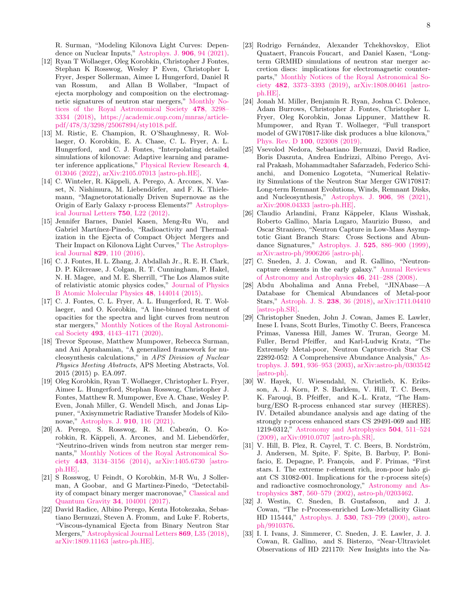R. Surman, "Modeling Kilonova Light Curves: Dependence on Nuclear Inputs," [Astrophys. J.](http://dx.doi.org/10.3847/1538-4357/abc69e) 906, 94 (2021).

- <span id="page-7-0"></span>[12] Ryan T Wollaeger, Oleg Korobkin, Christopher J Fontes, Stephan K Rosswog, Wesley P Even, Christopher L Fryer, Jesper Sollerman, Aimee L Hungerford, Daniel R van Rossum, and Allan B Wollaber, "Impact of ejecta morphology and composition on the electromagnetic signatures of neutron star mergers," [Monthly No](http://dx.doi.org/ 10.1093/mnras/sty1018)[tices of the Royal Astronomical Society](http://dx.doi.org/ 10.1093/mnras/sty1018) 478, 3298– [3334 \(2018\),](http://dx.doi.org/ 10.1093/mnras/sty1018) [https://academic.oup.com/mnras/article](http://arxiv.org/abs/https://academic.oup.com/mnras/article-pdf/478/3/3298/25067894/sty1018.pdf)[pdf/478/3/3298/25067894/sty1018.pdf.](http://arxiv.org/abs/https://academic.oup.com/mnras/article-pdf/478/3/3298/25067894/sty1018.pdf)
- <span id="page-7-1"></span>[13] M. Ristic, E. Champion, R. O'Shaughnessy, R. Wollaeger, O. Korobkin, E. A. Chase, C. L. Fryer, A. L. Hungerford, and C. J. Fontes, "Interpolating detailed simulations of kilonovae: Adaptive learning and parameter inference applications," [Physical Review Research](http://dx.doi.org/ 10.1103/PhysRevResearch.4.013046) 4, [013046 \(2022\),](http://dx.doi.org/ 10.1103/PhysRevResearch.4.013046) [arXiv:2105.07013 \[astro-ph.HE\].](http://arxiv.org/abs/2105.07013)
- <span id="page-7-2"></span>[14] C. Winteler, R. Käppeli, A. Perego, A. Arcones, N. Vasset, N. Nishimura, M. Liebendörfer, and F. K. Thielemann, "Magnetorotationally Driven Supernovae as the Origin of Early Galaxy r-process Elements?" [Astrophys](http://dx.doi.org/ 10.1088/2041-8205/750/1/L22)[ical Journal Letters](http://dx.doi.org/ 10.1088/2041-8205/750/1/L22) 750, L22 (2012).
- <span id="page-7-3"></span>[15] Jennifer Barnes, Daniel Kasen, Meng-Ru Wu, and Gabriel Martínez-Pinedo, "Radioactivity and Thermalization in the Ejecta of Compact Object Mergers and Their Impact on Kilonova Light Curves," [The Astrophys](http://dx.doi.org/10.3847/0004-637X/829/2/110)ical Journal 829[, 110 \(2016\).](http://dx.doi.org/10.3847/0004-637X/829/2/110)
- <span id="page-7-4"></span>[16] C. J. Fontes, H. L. Zhang, J. Abdallah Jr., R. E. H. Clark, D. P. Kilcrease, J. Colgan, R. T. Cunningham, P. Hakel, N. H. Magee, and M. E. Sherrill, "The Los Alamos suite of relativistic atomic physics codes," [Journal of Physics](http://dx.doi.org/10.1088/0953-4075/48/14/144014) [B Atomic Molecular Physics](http://dx.doi.org/10.1088/0953-4075/48/14/144014) 48, 144014 (2015).
- <span id="page-7-5"></span>[17] C. J. Fontes, C. L. Fryer, A. L. Hungerford, R. T. Wollaeger, and O. Korobkin, "A line-binned treatment of opacities for the spectra and light curves from neutron star mergers," [Monthly Notices of the Royal Astronomi](http://dx.doi.org/10.1093/mnras/staa485)cal Society 493[, 4143–4171 \(2020\).](http://dx.doi.org/10.1093/mnras/staa485)
- <span id="page-7-6"></span>[18] Trevor Sprouse, Matthew Mumpower, Rebecca Surman, and Ani Aprahamian, "A generalized framework for nucleosynthesis calculations," in APS Division of Nuclear Physics Meeting Abstracts, APS Meeting Abstracts, Vol. 2015 (2015) p. EA.097.
- <span id="page-7-7"></span>[19] Oleg Korobkin, Ryan T. Wollaeger, Christopher L. Fryer, Aimee L. Hungerford, Stephan Rosswog, Christopher J. Fontes, Matthew R. Mumpower, Eve A. Chase, Wesley P. Even, Jonah Miller, G. Wendell Misch, and Jonas Lippuner, "Axisymmetric Radiative Transfer Models of Kilonovae," [Astrophys. J.](http://dx.doi.org/ 10.3847/1538-4357/abe1b5) 910, 116 (2021).
- <span id="page-7-8"></span>[20] A. Perego, S. Rosswog, R. M. Cabezón, O. Korobkin, R. Käppeli, A. Arcones, and M. Liebendörfer, "Neutrino-driven winds from neutron star merger remnants," [Monthly Notices of the Royal Astronomical So](http://dx.doi.org/10.1093/mnras/stu1352)ciety 443[, 3134–3156 \(2014\),](http://dx.doi.org/10.1093/mnras/stu1352) [arXiv:1405.6730 \[astro](http://arxiv.org/abs/1405.6730)[ph.HE\].](http://arxiv.org/abs/1405.6730)
- [21] S Rosswog, U Feindt, O Korobkin, M-R Wu, J Sollerman, A Goobar, and G Martinez-Pinedo, "Detectability of compact binary merger macronovae," [Classical and](http://dx.doi.org/10.1088/1361-6382/aa68a9) [Quantum Gravity](http://dx.doi.org/10.1088/1361-6382/aa68a9) 34, 104001 (2017).
- [22] David Radice, Albino Perego, Kenta Hotokezaka, Sebastiano Bernuzzi, Steven A. Fromm, and Luke F. Roberts, "Viscous-dynamical Ejecta from Binary Neutron Star Mergers," [Astrophysical Journal Letters](http://dx.doi.org/10.3847/2041-8213/aaf053) 869, L35 (2018), [arXiv:1809.11163 \[astro-ph.HE\].](http://arxiv.org/abs/1809.11163)
- [23] Rodrigo Fernández, Alexander Tchekhovskoy, Eliot Quataert, Francois Foucart, and Daniel Kasen, "Longterm GRMHD simulations of neutron star merger accretion discs: implications for electromagnetic counterparts," [Monthly Notices of the Royal Astronomical So](http://dx.doi.org/ 10.1093/mnras/sty2932)ciety 482[, 3373–3393 \(2019\),](http://dx.doi.org/ 10.1093/mnras/sty2932) [arXiv:1808.00461 \[astro](http://arxiv.org/abs/1808.00461)[ph.HE\].](http://arxiv.org/abs/1808.00461)
- <span id="page-7-14"></span>[24] Jonah M. Miller, Benjamin R. Ryan, Joshua C. Dolence, Adam Burrows, Christopher J. Fontes, Christopher L. Fryer, Oleg Korobkin, Jonas Lippuner, Matthew R. Mumpower, and Ryan T. Wollaeger, "Full transport model of GW170817-like disk produces a blue kilonova," Phys. Rev. D 100[, 023008 \(2019\).](http://dx.doi.org/10.1103/PhysRevD.100.023008)
- <span id="page-7-9"></span>[25] Vsevolod Nedora, Sebastiano Bernuzzi, David Radice, Boris Daszuta, Andrea Endrizzi, Albino Perego, Aviral Prakash, Mohammadtaher Safarzadeh, Federico Schianchi, and Domenico Logoteta, "Numerical Relativity Simulations of the Neutron Star Merger GW170817: Long-term Remnant Evolutions, Winds, Remnant Disks, and Nucleosynthesis," [Astrophys. J.](http://dx.doi.org/10.3847/1538-4357/abc9be) 906, 98 (2021), [arXiv:2008.04333 \[astro-ph.HE\].](http://arxiv.org/abs/2008.04333)
- <span id="page-7-10"></span>[26] Claudio Arlandini, Franz Käppeler, Klaus Wisshak, Roberto Gallino, Maria Lugaro, Maurizio Busso, and Oscar Straniero, "Neutron Capture in Low-Mass Asymptotic Giant Branch Stars: Cross Sections and Abundance Signatures," Astrophys. J. 525[, 886–900 \(1999\),](http://dx.doi.org/10.1086/307938) [arXiv:astro-ph/9906266 \[astro-ph\].](http://arxiv.org/abs/astro-ph/9906266)
- <span id="page-7-11"></span>[27] C. Sneden, J. J. Cowan, and R. Gallino, "Neutroncapture elements in the early galaxy." [Annual Reviews](http://dx.doi.org/ 10.1146/annurev.astro.46.060407.145207) [of Astronomy and Astrophysics](http://dx.doi.org/ 10.1146/annurev.astro.46.060407.145207) 46, 241–288 (2008).
- <span id="page-7-12"></span>[28] Abdu Abohalima and Anna Frebel, "JINAbase—A Database for Chemical Abundances of Metal-poor Stars," [Astroph. J. S.](http://dx.doi.org/10.3847/1538-4365/aadfe9) 238, 36 (2018), [arXiv:1711.04410](http://arxiv.org/abs/1711.04410) [\[astro-ph.SR\].](http://arxiv.org/abs/1711.04410)
- <span id="page-7-13"></span>[29] Christopher Sneden, John J. Cowan, James E. Lawler, Inese I. Ivans, Scott Burles, Timothy C. Beers, Francesca Primas, Vanessa Hill, James W. Truran, George M. Fuller, Bernd Pfeiffer, and Karl-Ludwig Kratz, "The Extremely Metal-poor, Neutron Capture-rich Star CS 22892-052: A Comprehensive Abundance Analysis," [As](http://dx.doi.org/ 10.1086/375491)trophys. J. 591[, 936–953 \(2003\),](http://dx.doi.org/ 10.1086/375491) [arXiv:astro-ph/0303542](http://arxiv.org/abs/astro-ph/0303542) [\[astro-ph\].](http://arxiv.org/abs/astro-ph/0303542)
- [30] W. Hayek, U. Wiesendahl, N. Christlieb, K. Eriksson, A. J. Korn, P. S. Barklem, V. Hill, T. C. Beers, K. Farouqi, B. Pfeiffer, and K.-L. Kratz, "The Hamburg/ESO R-process enhanced star survey (HERES). IV. Detailed abundance analysis and age dating of the strongly r-process enhanced stars CS 29491-069 and HE 1219-0312," [Astronomy and Astrophysics](http://dx.doi.org/ 10.1051/0004-6361/200811121) 504, 511–524 [\(2009\),](http://dx.doi.org/ 10.1051/0004-6361/200811121) [arXiv:0910.0707 \[astro-ph.SR\].](http://arxiv.org/abs/0910.0707)
- [31] V. Hill, B. Plez, R. Cayrel, T. C. Beers, B. Nordström, J. Andersen, M. Spite, F. Spite, B. Barbuy, P. Bonifacio, E. Depagne, P. François, and F. Primas, "First stars. I. The extreme r-element rich, iron-poor halo giant CS 31082-001. Implications for the r-process site(s) and radioactive cosmochronology," [Astronomy and As](http://dx.doi.org/10.1051/0004-6361:20020434)trophysics 387[, 560–579 \(2002\),](http://dx.doi.org/10.1051/0004-6361:20020434) [astro-ph/0203462.](http://arxiv.org/abs/astro-ph/0203462)
- [32] J. Westin, C. Sneden, B. Gustafsson, and J. J. Cowan, "The r-Process-enriched Low-Metallicity Giant HD 115444," Astrophys. J. 530[, 783–799 \(2000\),](http://dx.doi.org/10.1086/308407) [astro](http://arxiv.org/abs/astro-ph/9910376)[ph/9910376.](http://arxiv.org/abs/astro-ph/9910376)
- [33] I. I. Ivans, J. Simmerer, C. Sneden, J. E. Lawler, J. J. Cowan, R. Gallino, and S. Bisterzo, "Near-Ultraviolet Observations of HD 221170: New Insights into the Na-